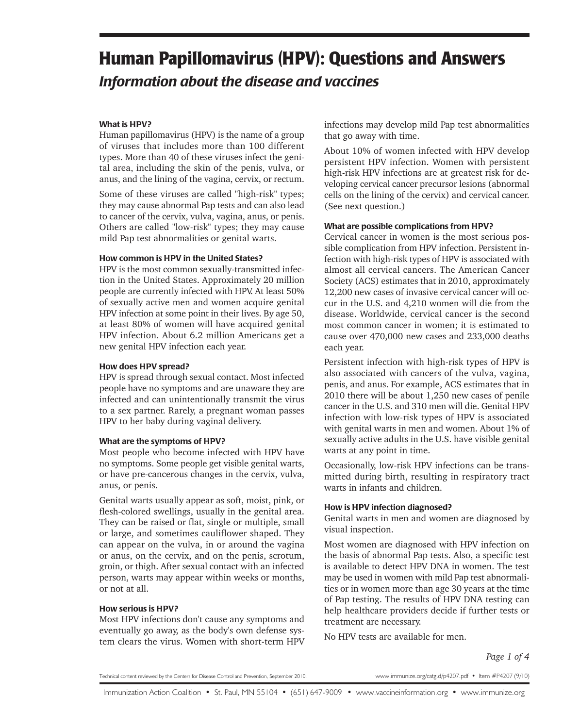# **Human Papillomavirus (HPV): Questions and Answers** *Information about the disease and vaccines*

# What is HPV?

Human papillomavirus (HPV) is the name of a group of viruses that includes more than 100 different types. More than 40 of these viruses infect the genital area, including the skin of the penis, vulva, or anus, and the lining of the vagina, cervix, or rectum.

Some of these viruses are called "high-risk" types; they may cause abnormal Pap tests and can also lead to cancer of the cervix, vulva, vagina, anus, or penis. Others are called "low-risk" types; they may cause mild Pap test abnormalities or genital warts.

#### How common is HPV in the United States?

HPV is the most common sexually-transmitted infection in the United States. Approximately 20 million people are currently infected with HPV. At least 50% of sexually active men and women acquire genital HPV infection at some point in their lives. By age 50, at least 80% of women will have acquired genital HPV infection. About 6.2 million Americans get a new genital HPV infection each year.

#### How does HPV spread?

HPV is spread through sexual contact. Most infected people have no symptoms and are unaware they are infected and can unintentionally transmit the virus to a sex partner. Rarely, a pregnant woman passes HPV to her baby during vaginal delivery.

## What are the symptoms of HPV?

Most people who become infected with HPV have no symptoms. Some people get visible genital warts, or have pre-cancerous changes in the cervix, vulva, anus, or penis.

Genital warts usually appear as soft, moist, pink, or flesh-colored swellings, usually in the genital area. They can be raised or flat, single or multiple, small or large, and sometimes cauliflower shaped. They can appear on the vulva, in or around the vagina or anus, on the cervix, and on the penis, scrotum, groin, or thigh. After sexual contact with an infected person, warts may appear within weeks or months, or not at all.

# How serious is HPV?

Most HPV infections don't cause any symptoms and eventually go away, as the body's own defense system clears the virus. Women with short-term HPV infections may develop mild Pap test abnormalities that go away with time.

About 10% of women infected with HPV develop persistent HPV infection. Women with persistent high-risk HPV infections are at greatest risk for developing cervical cancer precursor lesions (abnormal cells on the lining of the cervix) and cervical cancer. (See next question.)

#### What are possible complications from HPV?

Cervical cancer in women is the most serious possible complication from HPV infection. Persistent infection with high-risk types of HPV is associated with almost all cervical cancers. The American Cancer Society (ACS) estimates that in 2010, approximately 12,200 new cases of invasive cervical cancer will occur in the U.S. and 4,210 women will die from the disease. Worldwide, cervical cancer is the second most common cancer in women; it is estimated to cause over 470,000 new cases and 233,000 deaths each year.

Persistent infection with high-risk types of HPV is also associated with cancers of the vulva, vagina, penis, and anus. For example, ACS estimates that in 2010 there will be about 1,250 new cases of penile cancer in the U.S. and 310 men will die. Genital HPV infection with low-risk types of HPV is associated with genital warts in men and women. About 1% of sexually active adults in the U.S. have visible genital warts at any point in time.

Occasionally, low-risk HPV infections can be transmitted during birth, resulting in respiratory tract warts in infants and children.

## How is HPV infection diagnosed?

Genital warts in men and women are diagnosed by visual inspection.

Most women are diagnosed with HPV infection on the basis of abnormal Pap tests. Also, a specific test is available to detect HPV DNA in women. The test may be used in women with mild Pap test abnormalities or in women more than age 30 years at the time of Pap testing. The results of HPV DNA testing can help healthcare providers decide if further tests or treatment are necessary.

No HPV tests are available for men.

*Page 1 of 4*

Technical content reviewed by the Centers for Disease Control and Prevention, September 2010.

www.immunize.org/catg.d/p4207.pdf • Item #P4207 (9/10)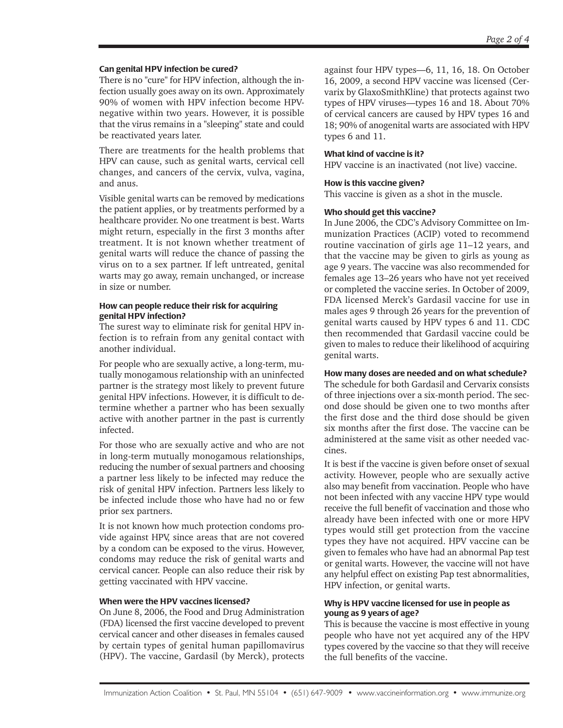#### Can genital HPV infection be cured?

There is no "cure" for HPV infection, although the infection usually goes away on its own. Approximately 90% of women with HPV infection become HPVnegative within two years. However, it is possible that the virus remains in a "sleeping" state and could be reactivated years later.

There are treatments for the health problems that HPV can cause, such as genital warts, cervical cell changes, and cancers of the cervix, vulva, vagina, and anus.

Visible genital warts can be removed by medications the patient applies, or by treatments performed by a healthcare provider. No one treatment is best. Warts might return, especially in the first 3 months after treatment. It is not known whether treatment of genital warts will reduce the chance of passing the virus on to a sex partner. If left untreated, genital warts may go away, remain unchanged, or increase in size or number.

#### How can people reduce their risk for acquiring genital HPV infection?

The surest way to eliminate risk for genital HPV infection is to refrain from any genital contact with another individual.

For people who are sexually active, a long-term, mutually monogamous relationship with an uninfected partner is the strategy most likely to prevent future genital HPV infections. However, it is difficult to determine whether a partner who has been sexually active with another partner in the past is currently infected.

For those who are sexually active and who are not in long-term mutually monogamous relationships, reducing the number of sexual partners and choosing a partner less likely to be infected may reduce the risk of genital HPV infection. Partners less likely to be infected include those who have had no or few prior sex partners.

It is not known how much protection condoms provide against HPV, since areas that are not covered by a condom can be exposed to the virus. However, condoms may reduce the risk of genital warts and cervical cancer. People can also reduce their risk by getting vaccinated with HPV vaccine.

## When were the HPV vaccines licensed?

On June 8, 2006, the Food and Drug Administration (FDA) licensed the first vaccine developed to prevent cervical cancer and other diseases in females caused by certain types of genital human papillomavirus (HPV). The vaccine, Gardasil (by Merck), protects against four HPV types—6, 11, 16, 18. On October 16, 2009, a second HPV vaccine was licensed (Cervarix by GlaxoSmithKline) that protects against two types of HPV viruses—types 16 and 18. About 70% of cervical cancers are caused by HPV types 16 and 18; 90% of anogenital warts are associated with HPV types 6 and 11.

## What kind of vaccine is it?

HPV vaccine is an inactivated (not live) vaccine.

#### How is this vaccine given?

This vaccine is given as a shot in the muscle.

#### Who should get this vaccine?

In June 2006, the CDC's Advisory Committee on Immunization Practices (ACIP) voted to recommend routine vaccination of girls age 11–12 years, and that the vaccine may be given to girls as young as age 9 years. The vaccine was also recommended for females age 13–26 years who have not yet received or completed the vaccine series. In October of 2009, FDA licensed Merck's Gardasil vaccine for use in males ages 9 through 26 years for the prevention of genital warts caused by HPV types 6 and 11. CDC then recommended that Gardasil vaccine could be given to males to reduce their likelihood of acquiring genital warts.

#### How many doses are needed and on what schedule?

The schedule for both Gardasil and Cervarix consists of three injections over a six-month period. The second dose should be given one to two months after the first dose and the third dose should be given six months after the first dose. The vaccine can be administered at the same visit as other needed vaccines.

It is best if the vaccine is given before onset of sexual activity. However, people who are sexually active also may benefit from vaccination. People who have not been infected with any vaccine HPV type would receive the full benefit of vaccination and those who already have been infected with one or more HPV types would still get protection from the vaccine types they have not acquired. HPV vaccine can be given to females who have had an abnormal Pap test or genital warts. However, the vaccine will not have any helpful effect on existing Pap test abnormalities, HPV infection, or genital warts.

#### Why is HPV vaccine licensed for use in people as young as 9 years of age?

This is because the vaccine is most effective in young people who have not yet acquired any of the HPV types covered by the vaccine so that they will receive the full benefits of the vaccine.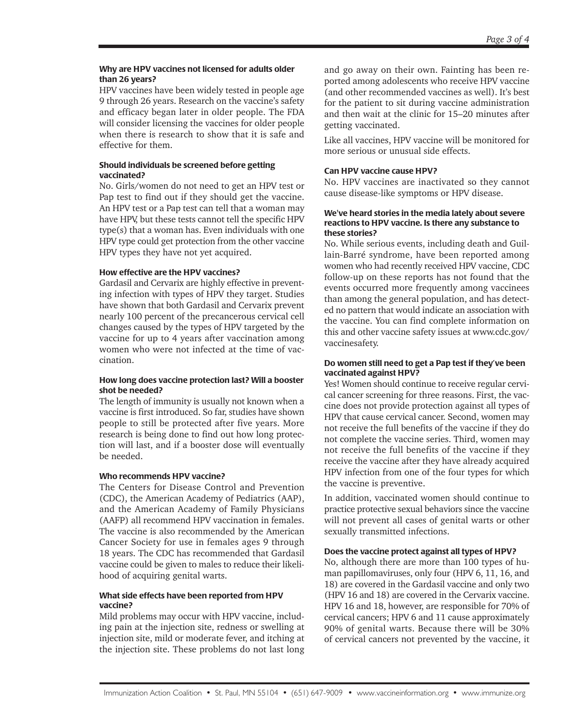#### Why are HPV vaccines not licensed for adults older than 26 years?

HPV vaccines have been widely tested in people age 9 through 26 years. Research on the vaccine's safety and efficacy began later in older people. The FDA will consider licensing the vaccines for older people when there is research to show that it is safe and effective for them.

## Should individuals be screened before getting vaccinated?

No. Girls/women do not need to get an HPV test or Pap test to find out if they should get the vaccine. An HPV test or a Pap test can tell that a woman may have HPV, but these tests cannot tell the specific HPV type(s) that a woman has. Even individuals with one HPV type could get protection from the other vaccine HPV types they have not yet acquired.

# How effective are the HPV vaccines?

Gardasil and Cervarix are highly effective in preventing infection with types of HPV they target. Studies have shown that both Gardasil and Cervarix prevent nearly 100 percent of the precancerous cervical cell changes caused by the types of HPV targeted by the vaccine for up to 4 years after vaccination among women who were not infected at the time of vaccination.

#### How long does vaccine protection last? Will a booster shot be needed?

The length of immunity is usually not known when a vaccine is first introduced. So far, studies have shown people to still be protected after five years. More research is being done to find out how long protection will last, and if a booster dose will eventually be needed.

## Who recommends HPV vaccine?

The Centers for Disease Control and Prevention (CDC), the American Academy of Pediatrics (AAP), and the American Academy of Family Physicians (AAFP) all recommend HPV vaccination in females. The vaccine is also recommended by the American Cancer Society for use in females ages 9 through 18 years. The CDC has recommended that Gardasil vaccine could be given to males to reduce their likelihood of acquiring genital warts.

## What side effects have been reported from HPV vaccine?

Mild problems may occur with HPV vaccine, including pain at the injection site, redness or swelling at injection site, mild or moderate fever, and itching at the injection site. These problems do not last long and go away on their own. Fainting has been reported among adolescents who receive HPV vaccine (and other recommended vaccines as well). It's best for the patient to sit during vaccine administration and then wait at the clinic for 15–20 minutes after getting vaccinated.

Like all vaccines, HPV vaccine will be monitored for more serious or unusual side effects.

# Can HPV vaccine cause HPV?

No. HPV vaccines are inactivated so they cannot cause disease-like symptoms or HPV disease.

#### We've heard stories in the media lately about severe reactions to HPV vaccine. Is there any substance to these stories?

No. While serious events, including death and Guillain-Barré syndrome, have been reported among women who had recently received HPV vaccine, CDC follow-up on these reports has not found that the events occurred more frequently among vaccinees than among the general population, and has detected no pattern that would indicate an association with the vaccine. You can find complete information on this and other vaccine safety issues at www.cdc.gov/ vaccinesafety.

#### Do women still need to get a Pap test if they've been vaccinated against HPV?

Yes! Women should continue to receive regular cervical cancer screening for three reasons. First, the vaccine does not provide protection against all types of HPV that cause cervical cancer. Second, women may not receive the full benefits of the vaccine if they do not complete the vaccine series. Third, women may not receive the full benefits of the vaccine if they receive the vaccine after they have already acquired HPV infection from one of the four types for which the vaccine is preventive.

In addition, vaccinated women should continue to practice protective sexual behaviors since the vaccine will not prevent all cases of genital warts or other sexually transmitted infections.

## Does the vaccine protect against all types of HPV?

No, although there are more than 100 types of human papillomaviruses, only four (HPV 6, 11, 16, and 18) are covered in the Gardasil vaccine and only two (HPV 16 and 18) are covered in the Cervarix vaccine. HPV 16 and 18, however, are responsible for 70% of cervical cancers; HPV 6 and 11 cause approximately 90% of genital warts. Because there will be 30% of cervical cancers not prevented by the vaccine, it